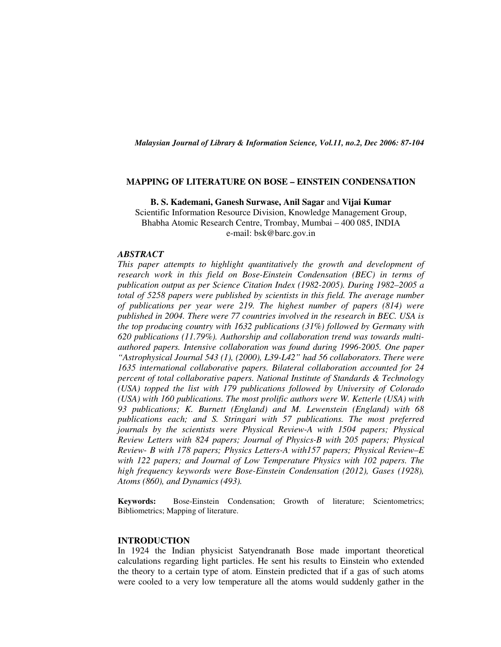*Malaysian Journal of Library & Information Science, Vol.11, no.2, Dec 2006: 87-104* 

#### **MAPPING OF LITERATURE ON BOSE – EINSTEIN CONDENSATION**

**B. S. Kademani, Ganesh Surwase, Anil Sagar** and **Vijai Kumar**  Scientific Information Resource Division, Knowledge Management Group, Bhabha Atomic Research Centre, Trombay, Mumbai – 400 085, INDIA e-mail: bsk@barc.gov.in

#### *ABSTRACT*

*This paper attempts to highlight quantitatively the growth and development of research work in this field on Bose-Einstein Condensation (BEC) in terms of publication output as per Science Citation Index (1982-2005). During 1982–2005 a total of 5258 papers were published by scientists in this field. The average number of publications per year were 219. The highest number of papers (814) were published in 2004. There were 77 countries involved in the research in BEC. USA is the top producing country with 1632 publications (31%) followed by Germany with 620 publications (11.79%). Authorship and collaboration trend was towards multiauthored papers. Intensive collaboration was found during 1996-2005. One paper "Astrophysical Journal 543 (1), (2000), L39-L42" had 56 collaborators. There were 1635 international collaborative papers. Bilateral collaboration accounted for 24 percent of total collaborative papers. National Institute of Standards & Technology (USA) topped the list with 179 publications followed by University of Colorado (USA) with 160 publications. The most prolific authors were W. Ketterle (USA) with 93 publications; K. Burnett (England) and M. Lewenstein (England) with 68 publications each; and S. Stringari with 57 publications. The most preferred journals by the scientists were Physical Review-A with 1504 papers; Physical Review Letters with 824 papers; Journal of Physics-B with 205 papers; Physical Review- B with 178 papers; Physics Letters-A with157 papers; Physical Review–E with 122 papers; and Journal of Low Temperature Physics with 102 papers. The high frequency keywords were Bose-Einstein Condensation (2012), Gases (1928), Atoms (860), and Dynamics (493).* 

**Keywords:** Bose-Einstein Condensation; Growth of literature; Scientometrics; Bibliometrics; Mapping of literature.

#### **INTRODUCTION**

In 1924 the Indian physicist Satyendranath Bose made important theoretical calculations regarding light particles. He sent his results to Einstein who extended the theory to a certain type of atom. Einstein predicted that if a gas of such atoms were cooled to a very low temperature all the atoms would suddenly gather in the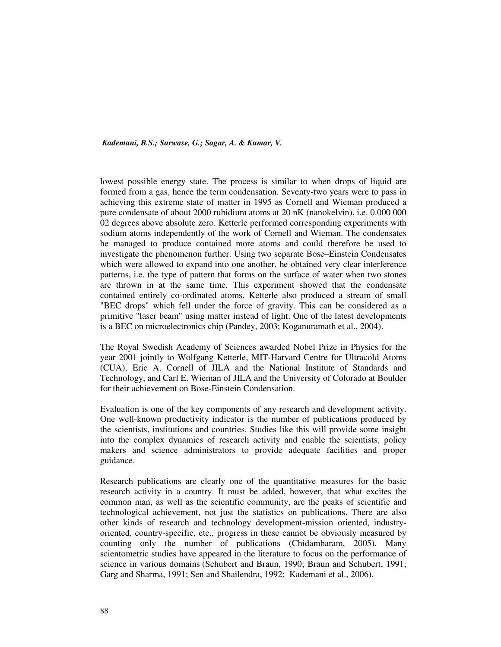lowest possible energy state. The process is similar to when drops of liquid are formed from a gas, hence the term condensation. Seventy-two years were to pass in achieving this extreme state of matter in 1995 as Cornell and Wieman produced a pure condensate of about 2000 rubidium atoms at 20 nK (nanokelvin), i.e. 0.000 000 02 degrees above absolute zero. Ketterle performed corresponding experiments with sodium atoms independently of the work of Cornell and Wieman. The condensates he managed to produce contained more atoms and could therefore be used to investigate the phenomenon further. Using two separate Bose–Einstein Condensates which were allowed to expand into one another, he obtained very clear interference patterns, i.e. the type of pattern that forms on the surface of water when two stones are thrown in at the same time. This experiment showed that the condensate contained entirely co-ordinated atoms. Ketterle also produced a stream of small "BEC drops" which fell under the force of gravity. This can be considered as a primitive "laser beam" using matter instead of light. One of the latest developments is a BEC on microelectronics chip (Pandey, 2003; Koganuramath et al., 2004).

The Royal Swedish Academy of Sciences awarded Nobel Prize in Physics for the year 2001 jointly to Wolfgang Ketterle, MIT-Harvard Centre for Ultracold Atoms (CUA), Eric A. Cornell of JILA and the National Institute of Standards and Technology, and Carl E. Wieman of JILA and the University of Colorado at Boulder for their achievement on Bose-Einstein Condensation.

Evaluation is one of the key components of any research and development activity. One well-known productivity indicator is the number of publications produced by the scientists, institutions and countries. Studies like this will provide some insight into the complex dynamics of research activity and enable the scientists, policy makers and science administrators to provide adequate facilities and proper guidance.

Research publications are clearly one of the quantitative measures for the basic research activity in a country. It must be added, however, that what excites the common man, as well as the scientific community, are the peaks of scientific and technological achievement, not just the statistics on publications. There are also other kinds of research and technology development-mission oriented, industryoriented, country-specific, etc., progress in these cannot be obviously measured by counting only the number of publications (Chidambaram, 2005). Many scientometric studies have appeared in the literature to focus on the performance of science in various domains (Schubert and Braun, 1990; Braun and Schubert, 1991; Garg and Sharma, 1991; Sen and Shailendra, 1992; Kademani et al., 2006).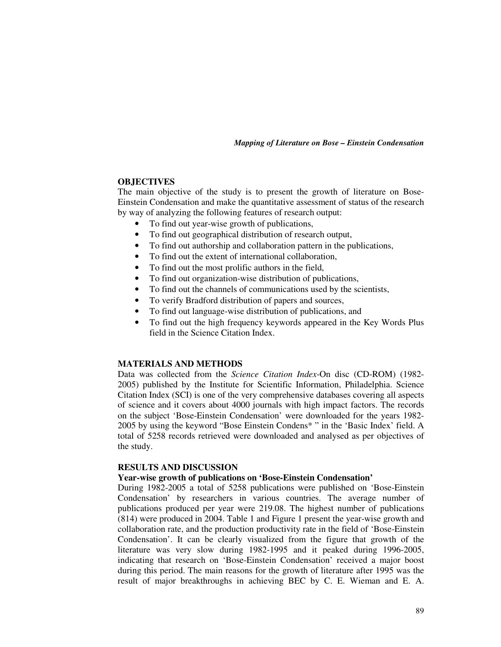### **OBJECTIVES**

The main objective of the study is to present the growth of literature on Bose-Einstein Condensation and make the quantitative assessment of status of the research by way of analyzing the following features of research output:

- To find out year-wise growth of publications,
- To find out geographical distribution of research output,
- To find out authorship and collaboration pattern in the publications,
- To find out the extent of international collaboration,
- To find out the most prolific authors in the field,
- To find out organization-wise distribution of publications,
- To find out the channels of communications used by the scientists,
- To verify Bradford distribution of papers and sources,
- To find out language-wise distribution of publications, and
- To find out the high frequency keywords appeared in the Key Words Plus field in the Science Citation Index.

## **MATERIALS AND METHODS**

Data was collected from the *Science Citation Index*-On disc (CD-ROM) (1982- 2005) published by the Institute for Scientific Information, Philadelphia. Science Citation Index (SCI) is one of the very comprehensive databases covering all aspects of science and it covers about 4000 journals with high impact factors. The records on the subject 'Bose-Einstein Condensation' were downloaded for the years 1982- 2005 by using the keyword "Bose Einstein Condens\* " in the 'Basic Index' field. A total of 5258 records retrieved were downloaded and analysed as per objectives of the study.

## **RESULTS AND DISCUSSION**

## **Year-wise growth of publications on 'Bose-Einstein Condensation'**

During 1982-2005 a total of 5258 publications were published on 'Bose-Einstein Condensation' by researchers in various countries. The average number of publications produced per year were 219.08. The highest number of publications (814) were produced in 2004. Table 1 and Figure 1 present the year-wise growth and collaboration rate, and the production productivity rate in the field of 'Bose-Einstein Condensation'. It can be clearly visualized from the figure that growth of the literature was very slow during 1982-1995 and it peaked during 1996-2005, indicating that research on 'Bose-Einstein Condensation' received a major boost during this period. The main reasons for the growth of literature after 1995 was the result of major breakthroughs in achieving BEC by C. E. Wieman and E. A.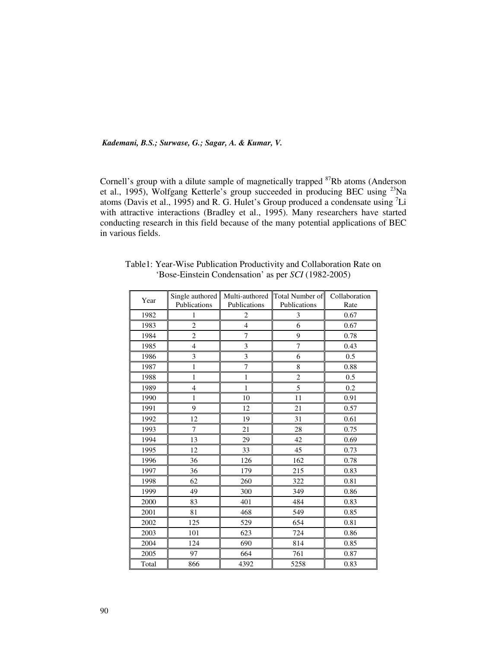Cornell's group with a dilute sample of magnetically trapped <sup>87</sup>Rb atoms (Anderson et al., 1995), Wolfgang Ketterle's group succeeded in producing BEC using <sup>23</sup>Na atoms (Davis et al., 1995) and R. G. Hulet's Group produced a condensate using <sup>7</sup>Li with attractive interactions (Bradley et al., 1995). Many researchers have started conducting research in this field because of the many potential applications of BEC in various fields.

| Year  | Single authored<br>Publications | Multi-authored<br>Publications | Total Number of<br>Publications | Collaboration<br>Rate |
|-------|---------------------------------|--------------------------------|---------------------------------|-----------------------|
| 1982  | 1                               | $\overline{2}$                 | 3                               | 0.67                  |
| 1983  | $\overline{c}$                  | $\overline{4}$                 | 6                               | 0.67                  |
| 1984  | 2                               | 7                              | 9                               | 0.78                  |
| 1985  | $\overline{\mathbf{4}}$         | 3                              | 7                               | 0.43                  |
| 1986  | 3                               | 3                              | 6                               | 0.5                   |
| 1987  | $\mathbf{1}$                    | $\overline{7}$                 | 8                               | 0.88                  |
| 1988  | 1                               | $\mathbf{1}$                   | $\mathbf{2}$                    | 0.5                   |
| 1989  | $\overline{4}$                  | 1                              | 5                               | 0.2                   |
| 1990  | $\mathbf{1}$                    | 10                             | 11                              | 0.91                  |
| 1991  | 9                               | 12                             | 21                              | 0.57                  |
| 1992  | 12                              | 19                             | 31                              | 0.61                  |
| 1993  | $\tau$                          | 21                             | 28                              | 0.75                  |
| 1994  | 13                              | 29                             | 42                              | 0.69                  |
| 1995  | 12                              | 33                             | 45                              | 0.73                  |
| 1996  | 36                              | 126                            | 162                             | 0.78                  |
| 1997  | 36                              | 179                            | 215                             | 0.83                  |
| 1998  | 62                              | 260                            | 322                             | 0.81                  |
| 1999  | 49                              | 300                            | 349                             | 0.86                  |
| 2000  | 83                              | 401                            | 484                             | 0.83                  |
| 2001  | 81                              | 468                            | 549                             | 0.85                  |
| 2002  | 125                             | 529                            | 654                             | 0.81                  |
| 2003  | 101                             | 623                            | 724                             | 0.86                  |
| 2004  | 124                             | 690                            | 814                             | 0.85                  |
| 2005  | 97                              | 664                            | 761                             | 0.87                  |
| Total | 866                             | 4392                           | 5258                            | 0.83                  |

Table1: Year-Wise Publication Productivity and Collaboration Rate on 'Bose-Einstein Condensation' as per *SCI* (1982-2005)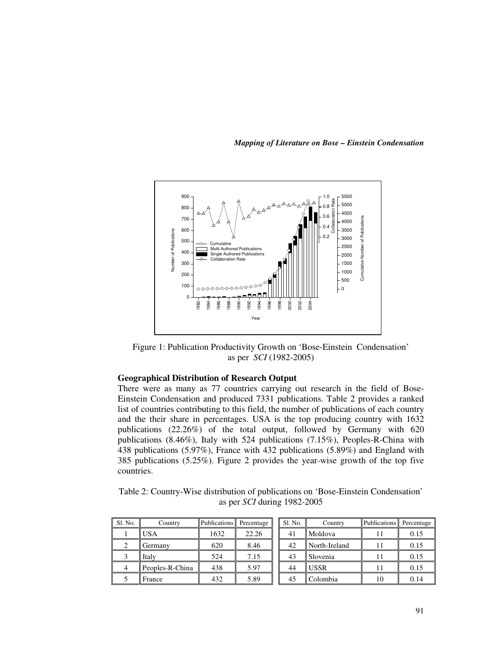*Mapping of Literature on Bose – Einstein Condensation* 



Figure 1: Publication Productivity Growth on 'Bose-Einstein Condensation' as per *SCI* (1982-2005)

## **Geographical Distribution of Research Output**

There were as many as 77 countries carrying out research in the field of Bose-Einstein Condensation and produced 7331 publications. Table 2 provides a ranked list of countries contributing to this field, the number of publications of each country and the their share in percentages. USA is the top producing country with 1632 publications (22.26%) of the total output, followed by Germany with 620 publications (8.46%), Italy with 524 publications (7.15%), Peoples-R-China with 438 publications (5.97%), France with 432 publications (5.89%) and England with 385 publications (5.25%). Figure 2 provides the year-wise growth of the top five countries. **Example 13 F Example 13 F Example 12 Example 12 Colombia 10 Colombia 10 Colombia 10 Colombia 10 Colombia 11 Colombia 11 Colombia 11 USA Example 14 Example 12 Example 12 Example 12 Exampl** 

Table 2: Country-Wise distribution of publications on 'Bose-Einstein Condensation' as per *SCI* during 1982-2005

| Sl. No. | Country         | <b>Publications</b> | Percentage | Sl. No. | Country       | Publications Percentage |      |
|---------|-----------------|---------------------|------------|---------|---------------|-------------------------|------|
|         | <b>USA</b>      | 1632                | 22.26      | 41      | Moldova       |                         | 0.15 |
|         | Germany         | 620                 | 8.46       | 42      | North-Ireland |                         | 0.15 |
|         | Italy           | 524                 | 7.15       | 43      | Slovenia      |                         | 0.15 |
|         | Peoples-R-China | 438                 | 5.97       | 44      | <b>USSR</b>   |                         | 0.15 |
|         | France          | 432                 | 5.89       | 45      | Colombia      | 10                      | 0.14 |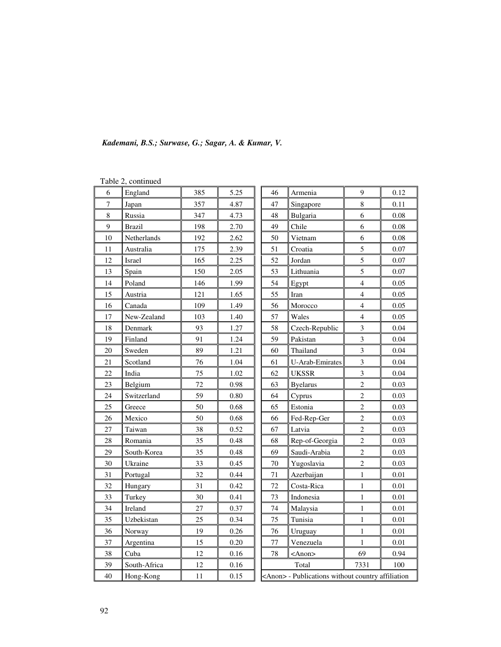| Kademani, B.S.; Surwase, G.; Sagar, A. & Kumar, V. |  |  |  |  |  |  |  |  |
|----------------------------------------------------|--|--|--|--|--|--|--|--|
|----------------------------------------------------|--|--|--|--|--|--|--|--|

|                  | I able $\angle$ , continued |     |      |                                                          |                  |                |      |  |  |
|------------------|-----------------------------|-----|------|----------------------------------------------------------|------------------|----------------|------|--|--|
| 6                | England                     | 385 | 5.25 | 46                                                       | Armenia          |                | 0.12 |  |  |
| $\boldsymbol{7}$ | Japan                       | 357 | 4.87 | 47                                                       | Singapore        | 8              | 0.11 |  |  |
| 8                | Russia                      | 347 | 4.73 | 48                                                       | Bulgaria         |                | 0.08 |  |  |
| 9                | <b>Brazil</b>               | 198 | 2.70 | 49                                                       | Chile            | 6              | 0.08 |  |  |
| 10               | Netherlands                 | 192 | 2.62 | 50                                                       | Vietnam          | 6              | 0.08 |  |  |
| 11               | Australia                   | 175 | 2.39 | 51                                                       | Croatia          | 5              | 0.07 |  |  |
| 12               | Israel                      | 165 | 2.25 | 52                                                       | Jordan           | 5              | 0.07 |  |  |
| 13               | Spain                       | 150 | 2.05 | 53                                                       | Lithuania        | 5              | 0.07 |  |  |
| 14               | Poland                      | 146 | 1.99 | 54                                                       | Egypt            | $\overline{4}$ | 0.05 |  |  |
| 15               | Austria                     | 121 | 1.65 | 55                                                       | Iran             | $\overline{4}$ | 0.05 |  |  |
| 16               | Canada                      | 109 | 1.49 | 56                                                       | Morocco          | $\overline{4}$ | 0.05 |  |  |
| 17               | New-Zealand                 | 103 | 1.40 | 57                                                       | Wales            | $\overline{4}$ | 0.05 |  |  |
| 18               | Denmark                     | 93  | 1.27 | 58                                                       | Czech-Republic   | 3              | 0.04 |  |  |
| 19               | Finland                     | 91  | 1.24 | 59                                                       | Pakistan         | $\overline{3}$ | 0.04 |  |  |
| 20               | Sweden                      | 89  | 1.21 | 60                                                       | Thailand         |                | 0.04 |  |  |
| 21               | Scotland                    | 76  | 1.04 | 61                                                       | U-Arab-Emirates  |                | 0.04 |  |  |
| 22               | India                       | 75  | 1.02 | 62                                                       | <b>UKSSR</b>     | $\mathfrak{Z}$ | 0.04 |  |  |
| 23               | Belgium                     | 72  | 0.98 | 63                                                       | <b>B</b> yelarus |                | 0.03 |  |  |
| 24               | Switzerland                 | 59  | 0.80 | 64                                                       | Cyprus           |                | 0.03 |  |  |
| 25               | Greece                      | 50  | 0.68 | 65                                                       | Estonia          | $\overline{c}$ | 0.03 |  |  |
| 26               | Mexico                      | 50  | 0.68 | 66                                                       | Fed-Rep-Ger      | $\overline{c}$ | 0.03 |  |  |
| 27               | Taiwan                      | 38  | 0.52 | 67                                                       | Latvia           | $\overline{c}$ | 0.03 |  |  |
| 28               | Romania                     | 35  | 0.48 | 68                                                       | Rep-of-Georgia   | $\overline{c}$ | 0.03 |  |  |
| 29               | South-Korea                 | 35  | 0.48 | 69                                                       | Saudi-Arabia     | $\overline{c}$ | 0.03 |  |  |
| 30               | Ukraine                     | 33  | 0.45 | 70                                                       | Yugoslavia       | $\overline{c}$ | 0.03 |  |  |
| 31               | Portugal                    | 32  | 0.44 | $71\,$                                                   | Azerbaijan       | 1              | 0.01 |  |  |
| 32               | Hungary                     | 31  | 0.42 | 72                                                       | Costa-Rica       | $\,1$          | 0.01 |  |  |
| 33               | Turkey                      | 30  | 0.41 | 73                                                       | Indonesia        | $\mathbf{1}$   | 0.01 |  |  |
| 34               | Ireland                     | 27  | 0.37 | 74                                                       | Malaysia         | $\,1$          | 0.01 |  |  |
| 35               | Uzbekistan                  | 25  | 0.34 | 75                                                       | Tunisia          | $\mathbf{1}$   | 0.01 |  |  |
| 36               | Norway                      | 19  | 0.26 | 76                                                       | Uruguay          | $\mathbf{1}$   | 0.01 |  |  |
| 37               | Argentina                   | 15  | 0.20 | 77                                                       | Venezuela        | 1              | 0.01 |  |  |
| 38               | Cuba                        | 12  | 0.16 | 78                                                       | $<$ Anon $>$     | 69             | 0.94 |  |  |
| 39               | South-Africa                | 12  | 0.16 |                                                          | Total            | 7331           | 100  |  |  |
| 40               | Hong-Kong                   | 11  | 0.15 | <anon> - Publications without country affiliation</anon> |                  |                |      |  |  |

Table 2, continued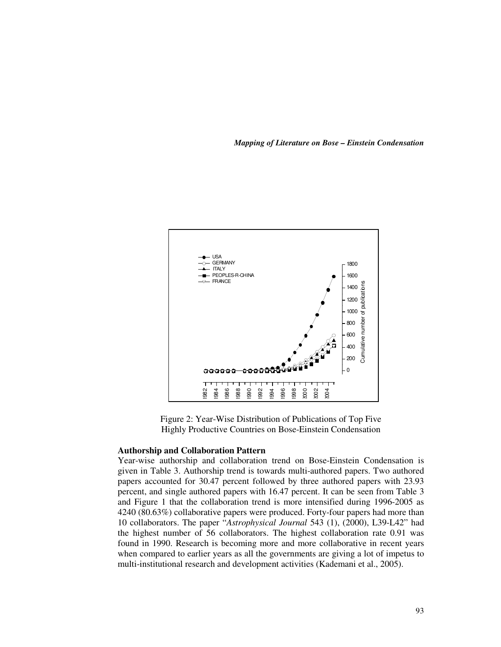*Mapping of Literature on Bose – Einstein Condensation* 



Figure 2: Year-Wise Distribution of Publications of Top Five Highly Productive Countries on Bose-Einstein Condensation

### **Authorship and Collaboration Pattern**

Year-wise authorship and collaboration trend on Bose-Einstein Condensation is given in Table 3. Authorship trend is towards multi-authored papers. Two authored papers accounted for 30.47 percent followed by three authored papers with 23.93 percent, and single authored papers with 16.47 percent. It can be seen from Table 3 and Figure 1 that the collaboration trend is more intensified during 1996-2005 as 4240 (80.63%) collaborative papers were produced. Forty-four papers had more than 10 collaborators. The paper "*Astrophysical Journal* 543 (1), (2000), L39-L42" had the highest number of 56 collaborators. The highest collaboration rate 0.91 was found in 1990. Research is becoming more and more collaborative in recent years when compared to earlier years as all the governments are giving a lot of impetus to **Example 12** For Social Research and Collaboration of Publications of Top Five Highly Productive Countries on Bose-Einstein Condensation **Authorship and Collaboration Pattern**<br>Year-wise authorship and collaboration trend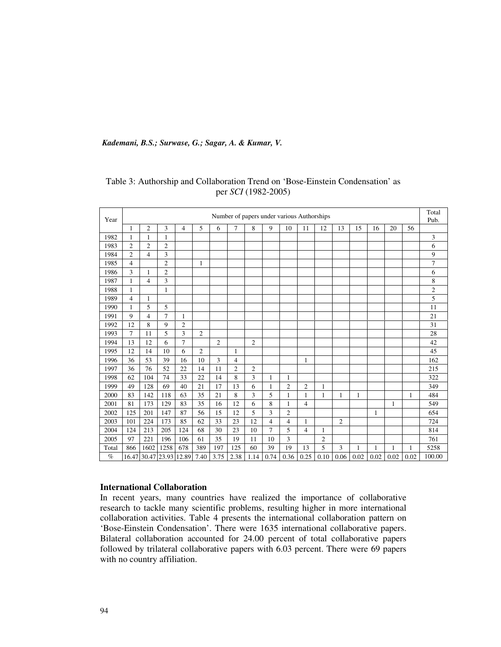| Year  | Number of papers under various Authorships |                |                   |                |                |                |                | Total<br>Pub.  |                |                |                |                |                |              |      |      |      |                |
|-------|--------------------------------------------|----------------|-------------------|----------------|----------------|----------------|----------------|----------------|----------------|----------------|----------------|----------------|----------------|--------------|------|------|------|----------------|
|       | 1                                          | $\mathfrak{2}$ | 3                 | 4              | 5              | 6              | 7              | 8              | 9              | 10             | 11             | 12             | 13             | 15           | 16   | 20   | 56   |                |
| 1982  | 1                                          | 1              | 1                 |                |                |                |                |                |                |                |                |                |                |              |      |      |      | 3              |
| 1983  | 2                                          | $\overline{c}$ | $\mathfrak{2}$    |                |                |                |                |                |                |                |                |                |                |              |      |      |      | 6              |
| 1984  | $\overline{2}$                             | $\overline{4}$ | 3                 |                |                |                |                |                |                |                |                |                |                |              |      |      |      | 9              |
| 1985  | $\overline{4}$                             |                | $\overline{2}$    |                | 1              |                |                |                |                |                |                |                |                |              |      |      |      | 7              |
| 1986  | 3                                          | $\mathbf{1}$   | $\overline{2}$    |                |                |                |                |                |                |                |                |                |                |              |      |      |      | 6              |
| 1987  | 1                                          | $\overline{4}$ | 3                 |                |                |                |                |                |                |                |                |                |                |              |      |      |      | 8              |
| 1988  | 1                                          |                | 1                 |                |                |                |                |                |                |                |                |                |                |              |      |      |      | $\overline{c}$ |
| 1989  | 4                                          | 1              |                   |                |                |                |                |                |                |                |                |                |                |              |      |      |      | 5              |
| 1990  | 1                                          | 5              | 5                 |                |                |                |                |                |                |                |                |                |                |              |      |      |      | 11             |
| 1991  | 9                                          | $\overline{4}$ | $\overline{7}$    | 1              |                |                |                |                |                |                |                |                |                |              |      |      |      | 21             |
| 1992  | 12                                         | 8              | 9                 | $\overline{c}$ |                |                |                |                |                |                |                |                |                |              |      |      |      | 31             |
| 1993  | $\tau$                                     | 11             | 5                 | 3              | $\overline{c}$ |                |                |                |                |                |                |                |                |              |      |      |      | 28             |
| 1994  | 13                                         | 12             | 6                 | $\overline{7}$ |                | $\overline{2}$ |                | $\overline{2}$ |                |                |                |                |                |              |      |      |      | 42             |
| 1995  | 12                                         | 14             | 10                | 6              | $\overline{c}$ |                | 1              |                |                |                |                |                |                |              |      |      |      | 45             |
| 1996  | 36                                         | 53             | 39                | 16             | 10             | 3              | 4              |                |                |                | 1              |                |                |              |      |      |      | 162            |
| 1997  | 36                                         | 76             | 52                | 22             | 14             | 11             | $\overline{2}$ | $\mathfrak{2}$ |                |                |                |                |                |              |      |      |      | 215            |
| 1998  | 62                                         | 104            | 74                | 33             | 22             | 14             | 8              | 3              | 1              | 1              |                |                |                |              |      |      |      | 322            |
| 1999  | 49                                         | 128            | 69                | 40             | 21             | 17             | 13             | 6              | 1              | $\overline{2}$ | $\overline{2}$ | 1              |                |              |      |      |      | 349            |
| 2000  | 83                                         | 142            | 118               | 63             | 35             | 21             | 8              | 3              | 5              | $\mathbf{1}$   | $\mathbf{1}$   | $\mathbf{1}$   | 1              | 1            |      |      | 1    | 484            |
| 2001  | 81                                         | 173            | 129               | 83             | 35             | 16             | 12             | 6              | 8              | 1              | $\overline{4}$ |                |                |              |      | 1    |      | 549            |
| 2002  | 125                                        | 201            | 147               | 87             | 56             | 15             | 12             | 5              | 3              | $\overline{2}$ |                |                |                |              | 1    |      |      | 654            |
| 2003  | 101                                        | 224            | 173               | 85             | 62             | 33             | 23             | 12             | 4              | 4              | 1              |                | $\overline{c}$ |              |      |      |      | 724            |
| 2004  | 124                                        | 213            | 205               | 124            | 68             | 30             | 23             | 10             | $\overline{7}$ | 5              | $\overline{4}$ | 1              |                |              |      |      |      | 814            |
| 2005  | 97                                         | 221            | 196               | 106            | 61             | 35             | 19             | 11             | 10             | 3              |                | $\overline{2}$ |                |              |      |      |      | 761            |
| Total | 866                                        | 1602           | 1258              | 678            | 389            | 197            | 125            | 60             | 39             | 19             | 13             | 5              | 3              | $\mathbf{1}$ | 1    | 1    | 1    | 5258           |
| $\%$  |                                            |                | 16.47 30.47 23.93 | 12.89          | 7.40           | 3.75           | 2.38           | 1.14           | 0.74           | 0.36           | 0.25           | 0.10           | 0.06           | 0.02         | 0.02 | 0.02 | 0.02 | 100.00         |

# Table 3: Authorship and Collaboration Trend on 'Bose-Einstein Condensation' as per *SCI* (1982-2005)

## **International Collaboration**

In recent years, many countries have realized the importance of collaborative research to tackle many scientific problems, resulting higher in more international collaboration activities. Table 4 presents the international collaboration pattern on 'Bose-Einstein Condensation'. There were 1635 international collaborative papers. Bilateral collaboration accounted for 24.00 percent of total collaborative papers followed by trilateral collaborative papers with 6.03 percent. There were 69 papers with no country affiliation.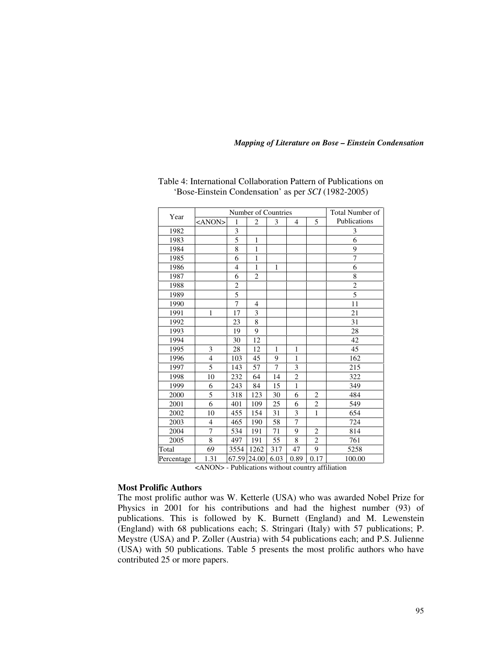|            | Number of Countries |                |                |              |                |                | Total Number of |
|------------|---------------------|----------------|----------------|--------------|----------------|----------------|-----------------|
| Year       | <anon></anon>       | 1              | 2              | 3            | $\overline{4}$ | 5              | Publications    |
| 1982       |                     | 3              |                |              |                |                | 3               |
| 1983       |                     | 5              | $\mathbf{1}$   |              |                |                | 6               |
| 1984       |                     | 8              | $\mathbf{1}$   |              |                |                | 9               |
| 1985       |                     | 6              | $\mathbf{1}$   |              |                |                | $\overline{7}$  |
| 1986       |                     | $\overline{4}$ | 1              | 1            |                |                | 6               |
| 1987       |                     | 6              | $\overline{2}$ |              |                |                | 8               |
| 1988       |                     | $\overline{c}$ |                |              |                |                | $\overline{2}$  |
| 1989       |                     | 5              |                |              |                |                | $\overline{5}$  |
| 1990       |                     | 7              | 4              |              |                |                | 11              |
| 1991       | 1                   | 17             | 3              |              |                |                | 21              |
| 1992       |                     | 23             | 8              |              |                |                | 31              |
| 1993       |                     | 19             | 9              |              |                |                | 28              |
| 1994       |                     | 30             | 12             |              |                |                | 42              |
| 1995       | 3                   | 28             | 12             | $\mathbf{1}$ | $\mathbf{1}$   |                | 45              |
| 1996       | $\overline{4}$      | 103            | 45             | 9            | $\mathbf{1}$   |                | 162             |
| 1997       | 5                   | 143            | 57             | 7            | 3              |                | 215             |
| 1998       | 10                  | 232            | 64             | 14           | $\overline{c}$ |                | 322             |
| 1999       | 6                   | 243            | 84             | 15           | $\mathbf{1}$   |                | 349             |
| 2000       | $\overline{5}$      | 318            | 123            | 30           | 6              | $\overline{c}$ | 484             |
| 2001       | 6                   | 401            | 109            | 25           | 6              | $\sqrt{2}$     | 549             |
| 2002       | 10                  | 455            | 154            | 31           | 3              | $\mathbf{1}$   | 654             |
| 2003       | $\overline{4}$      | 465            | 190            | 58           | $\overline{7}$ |                | 724             |
| 2004       | $\overline{7}$      | 534            | 191            | 71           | 9              | $\overline{2}$ | 814             |
| 2005       | 8                   | 497            | 191            | 55           | 8              | $\overline{2}$ | 761             |
| Total      | 69                  | 3554           | 1262           | 317          | 47             | 9              | 5258            |
| Percentage | 1.31                | 67.59          | 24.00          | 6.03         | 0.89           | 0.17           | 100.00          |

# Table 4: International Collaboration Pattern of Publications on 'Bose-Einstein Condensation' as per *SCI* (1982-2005)

<ANON> - Publications without country affiliation

### **Most Prolific Authors**

The most prolific author was W. Ketterle (USA) who was awarded Nobel Prize for Physics in 2001 for his contributions and had the highest number (93) of publications. This is followed by K. Burnett (England) and M. Lewenstein (England) with 68 publications each; S. Stringari (Italy) with 57 publications; P. Meystre (USA) and P. Zoller (Austria) with 54 publications each; and P.S. Julienne (USA) with 50 publications. Table 5 presents the most prolific authors who have contributed 25 or more papers.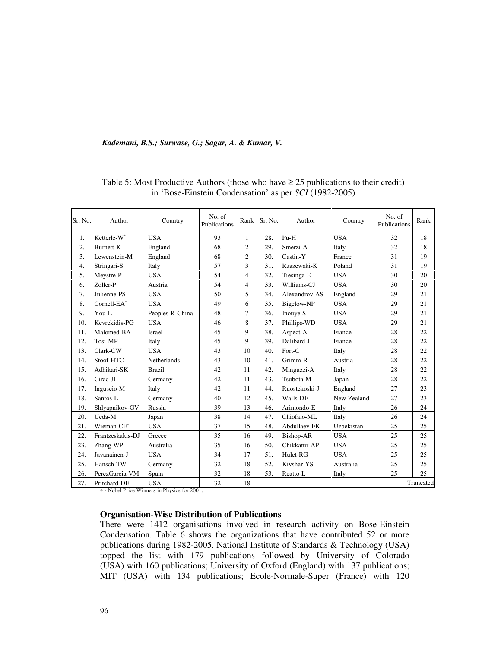| Sr. No. | Author                  | Country         | No. of<br>Publications | Rank           | Sr. No. | Author        | Country     | No. of<br>Publications | Rank      |
|---------|-------------------------|-----------------|------------------------|----------------|---------|---------------|-------------|------------------------|-----------|
| 1.      | Ketterle-W*             | <b>USA</b>      | 93                     | 1              | 28.     | $Pu-H$        | <b>USA</b>  | 32                     | 18        |
| 2.      | Burnett-K               | England         | 68                     | $\overline{2}$ | 29.     | Smerzi-A      | Italy       | 32                     | 18        |
| 3.      | Lewenstein-M            | England         | 68                     | 2              | 30.     | Castin-Y      | France      | 31                     | 19        |
| 4.      | Stringari-S             | Italy           | 57                     | 3              | 31.     | Rzazewski-K   | Poland      | 31                     | 19        |
| 5.      | Meystre-P               | <b>USA</b>      | 54                     | 4              | 32.     | Tiesinga-E    | <b>USA</b>  | 30                     | 20        |
| 6.      | Zoller-P                | Austria         | 54                     | 4              | 33.     | Williams-CJ   | <b>USA</b>  | 30                     | 20        |
| 7.      | Julienne-PS             | <b>USA</b>      | 50                     | 5              | 34.     | Alexandrov-AS | England     | 29                     | 21        |
| 8.      | Cornell-EA <sup>*</sup> | <b>USA</b>      | 49                     | 6              | 35.     | Bigelow-NP    | <b>USA</b>  | 29                     | 21        |
| 9.      | You-L                   | Peoples-R-China | 48                     | 7              | 36.     | Inouve-S      | <b>USA</b>  | 29                     | 21        |
| 10.     | Kevrekidis-PG           | <b>USA</b>      | 46                     | 8              | 37.     | Phillips-WD   | <b>USA</b>  | 29                     | 21        |
| 11.     | Malomed-BA              | Israel          | 45                     | 9              | 38.     | Aspect-A      | France      | 28                     | 22        |
| 12.     | Tosi-MP                 | Italy           | 45                     | 9              | 39.     | Dalibard-J    | France      | 28                     | 22        |
| 13.     | Clark-CW                | <b>USA</b>      | 43                     | 10             | 40.     | Fort-C        | Italy       | 28                     | 22        |
| 14.     | Stoof-HTC               | Netherlands     | 43                     | 10             | 41.     | Grimm-R       | Austria     | 28                     | 22        |
| 15.     | Adhikari-SK             | <b>Brazil</b>   | 42                     | 11             | 42.     | Minguzzi-A    | Italy       | 28                     | 22        |
| 16.     | Cirac-JI                | Germany         | 42                     | 11             | 43.     | Tsubota-M     | Japan       | 28                     | 22        |
| 17.     | Inguscio-M              | Italy           | 42                     | 11             | 44.     | Ruostekoski-J | England     | 27                     | 23        |
| 18.     | Santos-L                | Germany         | 40                     | 12             | 45.     | Walls-DF      | New-Zealand | 27                     | 23        |
| 19.     | Shlyapnikov-GV          | Russia          | 39                     | 13             | 46.     | Arimondo-E    | Italy       | 26                     | 24        |
| 20.     | Ueda-M                  | Japan           | 38                     | 14             | 47.     | Chiofalo-ML   | Italy       | 26                     | 24        |
| 21.     | Wieman-CE*              | <b>USA</b>      | 37                     | 15             | 48.     | Abdullaev-FK  | Uzbekistan  | 25                     | 25        |
| 22.     | Frantzeskakis-DJ        | Greece          | 35                     | 16             | 49.     | Bishop-AR     | <b>USA</b>  | 25                     | 25        |
| 23.     | Zhang-WP                | Australia       | 35                     | 16             | 50.     | Chikkatur-AP  | <b>USA</b>  | 25                     | 25        |
| 24.     | Javanainen-J            | <b>USA</b>      | 34                     | 17             | 51.     | Hulet-RG      | <b>USA</b>  | 25                     | 25        |
| 25.     | Hansch-TW               | Germany         | 32                     | 18             | 52.     | Kivshar-YS    | Australia   | 25                     | 25        |
| 26.     | PerezGarcia-VM          | Spain           | 32                     | 18             | 53.     | Reatto-L      | Italy       | 25                     | 25        |
| 27.     | Pritchard-DE            | <b>USA</b>      | 32                     | 18             |         |               |             |                        | Truncated |

# Table 5: Most Productive Authors (those who have  $\geq$  25 publications to their credit) in 'Bose-Einstein Condensation' as per *SCI* (1982-2005)

∗ - Nobel Prize Winners in Physics for 2001.

## **Organisation-Wise Distribution of Publications**

There were 1412 organisations involved in research activity on Bose-Einstein Condensation. Table 6 shows the organizations that have contributed 52 or more publications during 1982-2005. National Institute of Standards & Technology (USA) topped the list with 179 publications followed by University of Colorado (USA) with 160 publications; University of Oxford (England) with 137 publications; MIT (USA) with 134 publications; Ecole-Normale-Super (France) with 120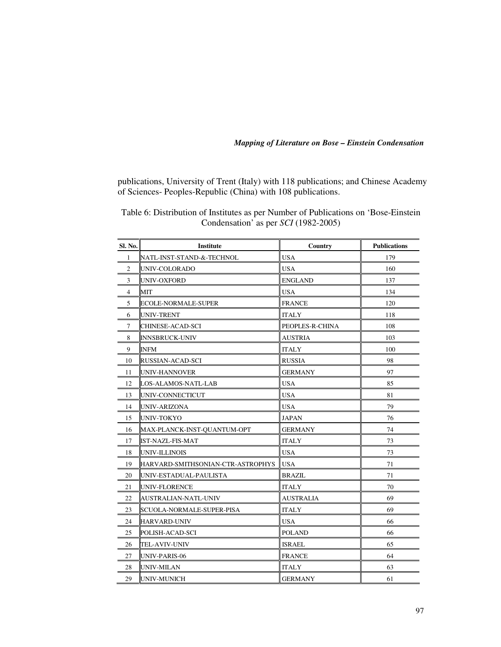publications, University of Trent (Italy) with 118 publications; and Chinese Academy of Sciences- Peoples-Republic (China) with 108 publications.

| Sl. No.        | Institute                         | Country          | <b>Publications</b> |
|----------------|-----------------------------------|------------------|---------------------|
| 1              | NATL-INST-STAND-&-TECHNOL         | <b>USA</b>       | 179                 |
| $\mathbf{2}$   | UNIV-COLORADO                     | <b>USA</b>       | 160                 |
| 3              | UNIV-OXFORD                       | <b>ENGLAND</b>   | 137                 |
| $\overline{4}$ | MIT                               | <b>USA</b>       | 134                 |
| 5              | ECOLE-NORMALE-SUPER               | <b>FRANCE</b>    | 120                 |
| 6              | UNIV-TRENT                        | <b>ITALY</b>     | 118                 |
| 7              | CHINESE-ACAD-SCI                  | PEOPLES-R-CHINA  | 108                 |
| 8              | <b>INNSBRUCK-UNIV</b>             | <b>AUSTRIA</b>   | 103                 |
| 9              | INFM                              | <b>ITALY</b>     | 100                 |
| 10             | RUSSIAN-ACAD-SCI                  | <b>RUSSIA</b>    | 98                  |
| 11             | UNIV-HANNOVER                     | <b>GERMANY</b>   | 97                  |
| 12             | LOS-ALAMOS-NATL-LAB               | <b>USA</b>       | 85                  |
| 13             | UNIV-CONNECTICUT                  | <b>USA</b>       | 81                  |
| 14             | UNIV-ARIZONA                      | <b>USA</b>       | 79                  |
| 15             | UNIV-TOKYO                        | <b>JAPAN</b>     | 76                  |
| 16             | MAX-PLANCK-INST-QUANTUM-OPT       | <b>GERMANY</b>   | 74                  |
| 17             | IST-NAZL-FIS-MAT                  | <b>ITALY</b>     | 73                  |
| 18             | UNIV-ILLINOIS                     | <b>USA</b>       | 73                  |
| 19             | HARVARD-SMITHSONIAN-CTR-ASTROPHYS | <b>USA</b>       | 71                  |
| 20             | UNIV-ESTADUAL-PAULISTA            | <b>BRAZIL</b>    | 71                  |
| 21             | UNIV-FLORENCE                     | <b>ITALY</b>     | 70                  |
| 22             | AUSTRALIAN-NATL-UNIV              | <b>AUSTRALIA</b> | 69                  |
| 23             | SCUOLA-NORMALE-SUPER-PISA         | <b>ITALY</b>     | 69                  |
| 24             | HARVARD-UNIV                      | <b>USA</b>       | 66                  |
| 25             | POLISH-ACAD-SCI                   | <b>POLAND</b>    | 66                  |
| 26             | TEL-AVIV-UNIV                     | <b>ISRAEL</b>    | 65                  |
| 27             | UNIV-PARIS-06                     | <b>FRANCE</b>    | 64                  |
| 28             | UNIV-MILAN                        | <b>ITALY</b>     | 63                  |
| 29             | <b>UNIV-MUNICH</b>                | <b>GERMANY</b>   | 61                  |

Table 6: Distribution of Institutes as per Number of Publications on 'Bose-Einstein Condensation' as per *SCI* (1982-2005)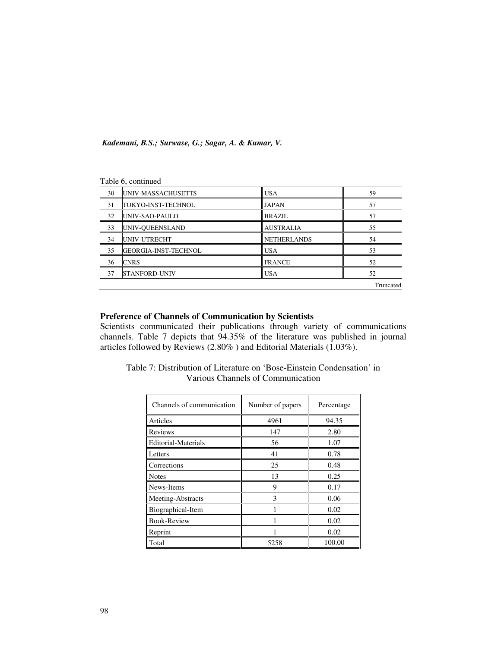|    | r abic o, command           |                    |           |
|----|-----------------------------|--------------------|-----------|
| 30 | UNIV-MASSACHUSETTS          | <b>USA</b>         | 59        |
| 31 | TOKYO-INST-TECHNOL          | <b>JAPAN</b>       | 57        |
| 32 | UNIV-SAO-PAULO              | <b>BRAZIL</b>      | 57        |
| 33 | UNIV-QUEENSLAND             | <b>AUSTRALIA</b>   | 55        |
| 34 | UNIV-UTRECHT                | <b>NETHERLANDS</b> | 54        |
| 35 | <b>GEORGIA-INST-TECHNOL</b> | <b>USA</b>         | 53        |
| 36 | <b>CNRS</b>                 | <b>FRANCE</b>      | 52        |
| 37 | <b>STANFORD-UNIV</b>        | <b>USA</b>         | 52        |
|    |                             |                    | Truncated |

## Table 6, continued

# **Preference of Channels of Communication by Scientists**

Scientists communicated their publications through variety of communications channels. Table 7 depicts that 94.35% of the literature was published in journal articles followed by Reviews (2.80% ) and Editorial Materials (1.03%).

| Channels of communication  | Number of papers | Percentage |
|----------------------------|------------------|------------|
| Articles                   | 4961             | 94.35      |
| Reviews                    | 147              | 2.80       |
| <b>Editorial-Materials</b> | 56               | 1.07       |
| Letters                    | 41               | 0.78       |
| Corrections                | 25               | 0.48       |
| <b>Notes</b>               | 13               | 0.25       |
| News-Items                 | 9                | 0.17       |
| Meeting-Abstracts          | 3                | 0.06       |
| Biographical-Item          |                  | 0.02       |
| <b>Book-Review</b>         |                  | 0.02       |
| Reprint                    |                  | 0.02       |
| Total                      | 5258             | 100.00     |

Table 7: Distribution of Literature on 'Bose-Einstein Condensation' in Various Channels of Communication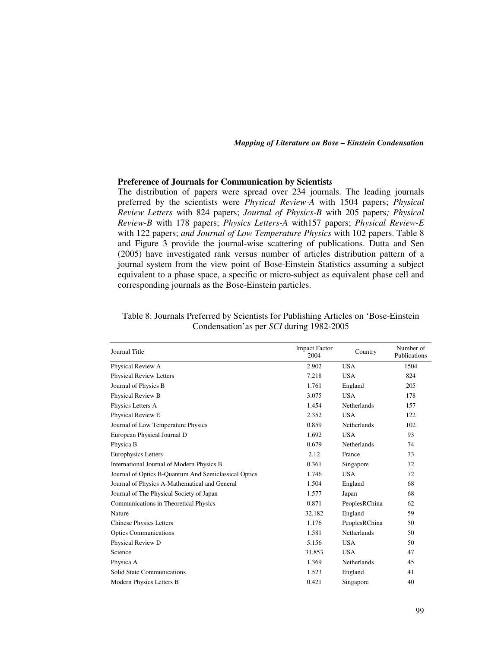## **Preference of Journals for Communication by Scientist***s*

The distribution of papers were spread over 234 journals. The leading journals preferred by the scientists were *Physical Review-A* with 1504 papers; *Physical Review Letters* with 824 papers; *Journal of Physics-B* with 205 papers*; Physical Review-B* with 178 papers; *Physics Letters-A* with157 papers; *Physical Review-E* with 122 papers; *and Journal of Low Temperature Physics* with 102 papers. Table 8 and Figure 3 provide the journal-wise scattering of publications. Dutta and Sen (2005) have investigated rank versus number of articles distribution pattern of a journal system from the view point of Bose-Einstein Statistics assuming a subject equivalent to a phase space, a specific or micro-subject as equivalent phase cell and corresponding journals as the Bose-Einstein particles.

| Journal Title                                        | <b>Impact Factor</b><br>2004 | Country            | Number of<br>Publications |
|------------------------------------------------------|------------------------------|--------------------|---------------------------|
| Physical Review A                                    | 2.902                        | <b>USA</b>         | 1504                      |
| <b>Physical Review Letters</b>                       | 7.218                        | <b>USA</b>         | 824                       |
| Journal of Physics B                                 | 1.761                        | England            | 205                       |
| Physical Review B                                    | 3.075                        | <b>USA</b>         | 178                       |
| Physics Letters A                                    | 1.454                        | Netherlands        | 157                       |
| Physical Review E                                    | 2.352                        | <b>USA</b>         | 122                       |
| Journal of Low Temperature Physics                   | 0.859                        | <b>Netherlands</b> | 102                       |
| European Physical Journal D                          | 1.692                        | <b>USA</b>         | 93                        |
| Physica B                                            | 0.679                        | Netherlands        | 74                        |
| <b>Europhysics Letters</b>                           | 2.12                         | France             | 73                        |
| International Journal of Modern Physics B            | 0.361                        | Singapore          | 72                        |
| Journal of Optics B-Quantum And Semiclassical Optics | 1.746                        | <b>USA</b>         | 72                        |
| Journal of Physics A-Mathematical and General        | 1.504                        | England            | 68                        |
| Journal of The Physical Society of Japan             | 1.577                        | Japan              | 68                        |
| Communications in Theoretical Physics                | 0.871                        | PeoplesRChina      | 62                        |
| Nature                                               | 32.182                       | England            | 59                        |
| <b>Chinese Physics Letters</b>                       | 1.176                        | PeoplesRChina      | 50                        |
| <b>Optics Communications</b>                         | 1.581                        | Netherlands        | 50                        |
| Physical Review D                                    | 5.156                        | <b>USA</b>         | 50                        |
| Science                                              | 31.853                       | <b>USA</b>         | 47                        |
| Physica A                                            | 1.369                        | <b>Netherlands</b> | 45                        |
| <b>Solid State Communications</b>                    | 1.523                        | England            | 41                        |
| Modern Physics Letters B                             | 0.421                        | Singapore          | 40                        |

| Table 8: Journals Preferred by Scientists for Publishing Articles on 'Bose-Einstein |
|-------------------------------------------------------------------------------------|
| Condensation'as per <i>SCI</i> during 1982-2005                                     |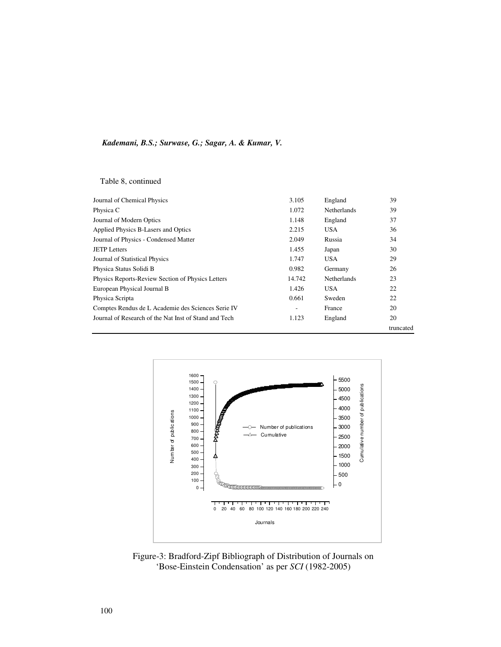Table 8, continued

| Journal of Chemical Physics                           | 3.105  | England            | 39        |
|-------------------------------------------------------|--------|--------------------|-----------|
| Physica C                                             | 1.072  | <b>Netherlands</b> | 39        |
| Journal of Modern Optics                              | 1.148  | England            | 37        |
| Applied Physics B-Lasers and Optics                   | 2.215  | <b>USA</b>         | 36        |
| Journal of Physics - Condensed Matter                 | 2.049  | Russia             | 34        |
| <b>JETP</b> Letters                                   | 1.455  | Japan              | 30        |
| Journal of Statistical Physics                        | 1.747  | USA                | 29        |
| Physica Status Solidi B                               | 0.982  | Germany            | 26        |
| Physics Reports-Review Section of Physics Letters     | 14.742 | <b>Netherlands</b> | 23        |
| European Physical Journal B                           | 1.426  | <b>USA</b>         | 22        |
| Physica Scripta                                       | 0.661  | Sweden             | 22        |
| Comptes Rendus de L Academie des Sciences Serie IV    |        | France             | 20        |
| Journal of Research of the Nat Inst of Stand and Tech | 1.123  | England            | 20        |
|                                                       |        |                    | truncated |



Figure-3: Bradford-Zipf Bibliograph of Distribution of Journals on 'Bose-Einstein Condensation' as per *SCI* (1982-2005)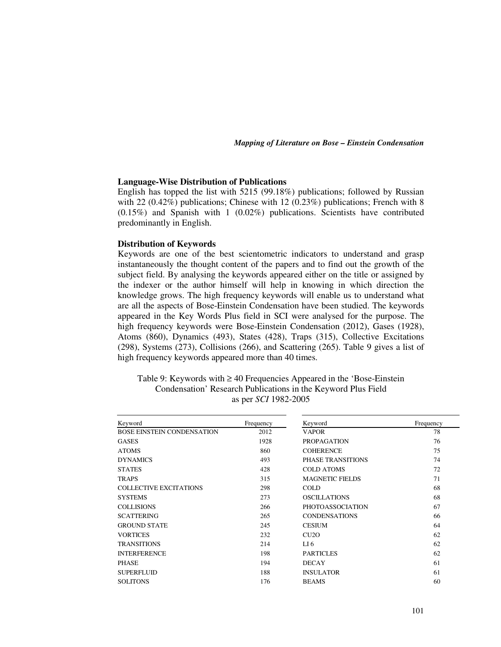#### **Language-Wise Distribution of Publications**

English has topped the list with 5215 (99.18%) publications; followed by Russian with 22 (0.42%) publications; Chinese with 12 (0.23%) publications; French with 8  $(0.15\%)$  and Spanish with 1  $(0.02\%)$  publications. Scientists have contributed predominantly in English.

#### **Distribution of Keywords**

Keywords are one of the best scientometric indicators to understand and grasp instantaneously the thought content of the papers and to find out the growth of the subject field. By analysing the keywords appeared either on the title or assigned by the indexer or the author himself will help in knowing in which direction the knowledge grows. The high frequency keywords will enable us to understand what are all the aspects of Bose-Einstein Condensation have been studied. The keywords appeared in the Key Words Plus field in SCI were analysed for the purpose. The high frequency keywords were Bose-Einstein Condensation (2012), Gases (1928), Atoms (860), Dynamics (493), States (428), Traps (315), Collective Excitations (298), Systems (273), Collisions (266), and Scattering (265). Table 9 gives a list of high frequency keywords appeared more than 40 times.

| Table 9: Keywords with $\geq 40$ Frequencies Appeared in the 'Bose-Einstein' |
|------------------------------------------------------------------------------|
| Condensation' Research Publications in the Keyword Plus Field                |
| as per <i>SCI</i> 1982-2005                                                  |

| Keyword                           | Frequency | Keyword                 | Frequency |
|-----------------------------------|-----------|-------------------------|-----------|
| <b>BOSE EINSTEIN CONDENSATION</b> | 2012      | <b>VAPOR</b>            | 78        |
| <b>GASES</b>                      | 1928      | <b>PROPAGATION</b>      | 76        |
| <b>ATOMS</b>                      | 860       | <b>COHERENCE</b>        | 75        |
| <b>DYNAMICS</b>                   | 493       | PHASE TRANSITIONS       | 74        |
| <b>STATES</b>                     | 428       | <b>COLD ATOMS</b>       | 72        |
| <b>TRAPS</b>                      | 315       | <b>MAGNETIC FIELDS</b>  | 71        |
| <b>COLLECTIVE EXCITATIONS</b>     | 298       | <b>COLD</b>             | 68        |
| <b>SYSTEMS</b>                    | 273       | <b>OSCILLATIONS</b>     | 68        |
| <b>COLLISIONS</b>                 | 266       | <b>PHOTOASSOCIATION</b> | 67        |
| <b>SCATTERING</b>                 | 265       | <b>CONDENSATIONS</b>    | 66        |
| <b>GROUND STATE</b>               | 245       | <b>CESIUM</b>           | 64        |
| <b>VORTICES</b>                   | 232       | CU2O                    | 62        |
| <b>TRANSITIONS</b>                | 214       | LI <sub>6</sub>         | 62        |
| <b>INTERFERENCE</b>               | 198       | <b>PARTICLES</b>        | 62        |
| <b>PHASE</b>                      | 194       | <b>DECAY</b>            | 61        |
| <b>SUPERFLUID</b>                 | 188       | <b>INSULATOR</b>        | 61        |
| <b>SOLITONS</b>                   | 176       | <b>BEAMS</b>            | 60        |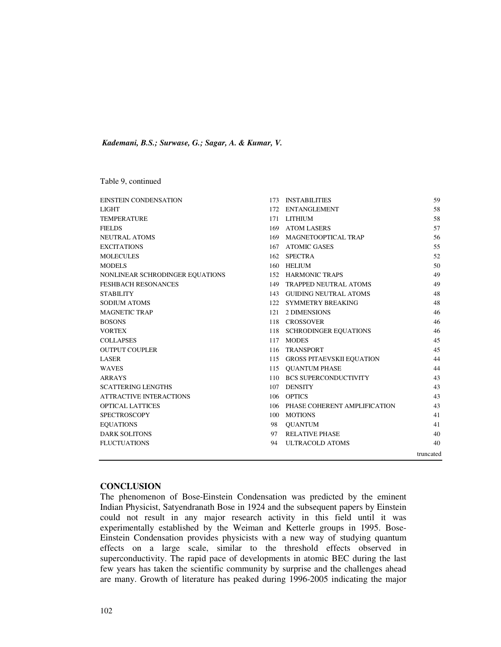Table 9, continued

| <b>EINSTEIN CONDENSATION</b>    |     | 173 INSTABILITIES                | 59        |
|---------------------------------|-----|----------------------------------|-----------|
| LIGHT                           |     | 172 ENTANGLEMENT                 | 58        |
| <b>TEMPERATURE</b>              |     | 171 LITHIUM                      | 58        |
| <b>FIELDS</b>                   |     | 169 ATOM LASERS                  | 57        |
| NEUTRAL ATOMS                   |     | 169 MAGNETOOPTICAL TRAP          | 56        |
| <b>EXCITATIONS</b>              |     | 167 ATOMIC GASES                 | 55        |
| <b>MOLECULES</b>                |     | 162 SPECTRA                      | 52        |
| MODELS                          |     | 160 HELIUM                       | 50        |
| NONLINEAR SCHRODINGER EQUATIONS |     | 152 HARMONIC TRAPS               | 49        |
| <b>FESHBACH RESONANCES</b>      |     | 149 TRAPPED NEUTRAL ATOMS        | 49        |
| <b>STABILITY</b>                |     | 143 GUIDING NEUTRAL ATOMS        | 48        |
| <b>SODIUM ATOMS</b>             |     | 122 SYMMETRY BREAKING            | 48        |
| <b>MAGNETIC TRAP</b>            |     | 121 2 DIMENSIONS                 | 46        |
| BOSONS                          |     | 118 CROSSOVER                    | 46        |
| VORTEX                          |     | 118 SCHRODINGER EQUATIONS        | 46        |
| <b>COLLAPSES</b>                |     | 117 MODES                        | 45        |
| <b>OUTPUT COUPLER</b>           | 116 | TRANSPORT                        | 45        |
| LASER                           |     | 115 GROSS PITAEVSKII EQUATION    | 44        |
| <b>WAVES</b>                    |     | 115 OUANTUM PHASE                | 44        |
| ARRAYS                          |     | 110 BCS SUPERCONDUCTIVITY        | 43        |
| <b>SCATTERING LENGTHS</b>       |     | 107 DENSITY                      | 43        |
| ATTRACTIVE INTERACTIONS         |     | 106 OPTICS                       | 43        |
| <b>OPTICAL LATTICES</b>         |     | 106 PHASE COHERENT AMPLIFICATION | 43        |
| <b>SPECTROSCOPY</b>             |     | 100 MOTIONS                      | 41        |
| <b>EOUATIONS</b>                | 98  | QUANTUM                          | 41        |
| <b>DARK SOLITONS</b>            | 97  | <b>RELATIVE PHASE</b>            | 40        |
| <b>FLUCTUATIONS</b>             | 94  | <b>ULTRACOLD ATOMS</b>           | 40        |
|                                 |     |                                  | truncated |

## **CONCLUSION**

The phenomenon of Bose-Einstein Condensation was predicted by the eminent Indian Physicist, Satyendranath Bose in 1924 and the subsequent papers by Einstein could not result in any major research activity in this field until it was experimentally established by the Weiman and Ketterle groups in 1995. Bose-Einstein Condensation provides physicists with a new way of studying quantum effects on a large scale, similar to the threshold effects observed in superconductivity. The rapid pace of developments in atomic BEC during the last few years has taken the scientific community by surprise and the challenges ahead are many. Growth of literature has peaked during 1996-2005 indicating the major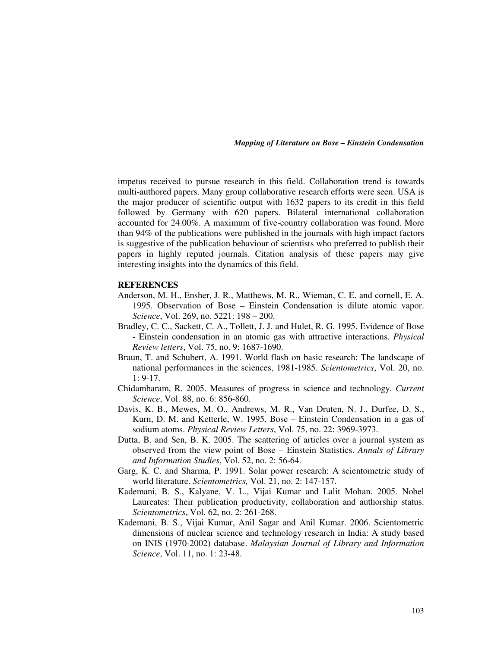impetus received to pursue research in this field. Collaboration trend is towards multi-authored papers. Many group collaborative research efforts were seen. USA is the major producer of scientific output with 1632 papers to its credit in this field followed by Germany with 620 papers. Bilateral international collaboration accounted for 24.00%. A maximum of five-country collaboration was found. More than 94% of the publications were published in the journals with high impact factors is suggestive of the publication behaviour of scientists who preferred to publish their papers in highly reputed journals. Citation analysis of these papers may give interesting insights into the dynamics of this field.

### **REFERENCES**

- Anderson, M. H., Ensher, J. R., Matthews, M. R., Wieman, C. E. and cornell, E. A. 1995. Observation of Bose – Einstein Condensation is dilute atomic vapor. *Science*, Vol. 269, no. 5221: 198 – 200.
- Bradley, C. C., Sackett, C. A., Tollett, J. J. and Hulet, R. G. 1995. Evidence of Bose - Einstein condensation in an atomic gas with attractive interactions. *Physical Review letters*, Vol. 75, no. 9: 1687-1690.
- Braun, T. and Schubert, A. 1991. World flash on basic research: The landscape of national performances in the sciences, 1981-1985. *Scientometrics*, Vol. 20, no. 1: 9-17.
- Chidambaram, R. 2005. Measures of progress in science and technology. *Current Science*, Vol. 88, no. 6: 856-860.
- Davis, K. B., Mewes, M. O., Andrews, M. R., Van Druten, N. J., Durfee, D. S., Kurn, D. M. and Ketterle, W. 1995. Bose – Einstein Condensation in a gas of sodium atoms. *Physical Review Letters*, Vol. 75, no. 22: 3969-3973.
- Dutta, B. and Sen, B. K. 2005. The scattering of articles over a journal system as observed from the view point of Bose – Einstein Statistics. *Annals of Library and Information Studies*, Vol. 52, no. 2: 56-64.
- Garg, K. C. and Sharma, P. 1991. Solar power research: A scientometric study of world literature. *Scientometrics,* Vol. 21, no. 2: 147-157.
- Kademani, B. S., Kalyane, V. L., Vijai Kumar and Lalit Mohan. 2005. Nobel Laureates: Their publication productivity, collaboration and authorship status. *Scientometrics*, Vol. 62, no. 2: 261-268.
- Kademani, B. S., Vijai Kumar, Anil Sagar and Anil Kumar. 2006. Scientometric dimensions of nuclear science and technology research in India: A study based on INIS (1970-2002) database. *Malaysian Journal of Library and Information Science*, Vol. 11, no. 1: 23-48.